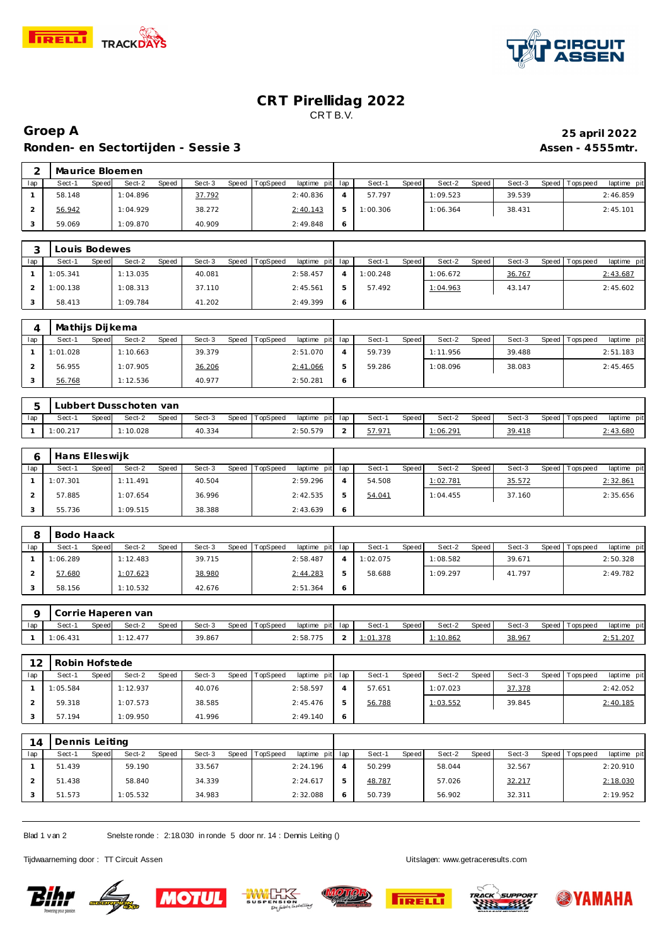



## **CRT Pirellidag 2022** CRT B.V.

## **Groep A 25 april 2022** Ronden- en Sectortijden - Sessie 3 **Assen - 4555mtr.**

|     | Maurice Bloemen |       |          |       |        |       |          |                 |    |          |       |          |       |        |                 |             |
|-----|-----------------|-------|----------|-------|--------|-------|----------|-----------------|----|----------|-------|----------|-------|--------|-----------------|-------------|
| lap | Sect-1          | Speed | Sect-2   | Speed | Sect-3 | Speed | TopSpeed | laptime pit lap |    | Sect-1   | Speed | Sect-2   | Speed | Sect-3 | Speed Tops peed | laptime pit |
|     | 58.148          |       | 1:04.896 |       | 37.792 |       |          | 2:40.836        |    | 57.797   |       | 1:09.523 |       | 39.539 |                 | 2:46.859    |
|     | 56.942          |       | 1:04.929 |       | 38.272 |       |          | 2:40.143        | ь  | 1:00.306 |       | 1:06.364 |       | 38.431 |                 | 2:45.101    |
|     | 59.069          |       | 1:09.870 |       | 40.909 |       |          | 2:49.848        | -6 |          |       |          |       |        |                 |             |

|     | Louis Bodewes |       |          |       |        |       |          |                 |         |          |       |          |       |        |                 |             |
|-----|---------------|-------|----------|-------|--------|-------|----------|-----------------|---------|----------|-------|----------|-------|--------|-----------------|-------------|
| lap | Sect-1        | Speed | Sect-2   | Speed | Sect-3 | Speed | TopSpeed | laptime pit lap |         | Sect-1   | Speed | Sect-2   | Speed | Sect-3 | Speed Tops peed | laptime pit |
|     | 1:05.341      |       | 1:13.035 |       | 40.081 |       |          | 2:58.457        |         | 1:00.248 |       | 1:06.672 |       | 36.767 |                 | 2:43.687    |
|     | 1:00.138      |       | 1:08.313 |       | 37.110 |       |          | 2:45.561        | .b      | 57.492   |       | 1:04.963 |       | 43.147 |                 | 2:45.602    |
|     | 58.413        |       | 1:09.784 |       | 41.202 |       |          | 2:49.399        | $\circ$ |          |       |          |       |        |                 |             |

|     | Mathijs Dijkema |       |          |       |        |              |          |                 |        |              |          |       |        |                 |             |
|-----|-----------------|-------|----------|-------|--------|--------------|----------|-----------------|--------|--------------|----------|-------|--------|-----------------|-------------|
| lap | Sect-′          | Speed | Sect-2   | Speed | Sect-3 | <b>Speed</b> | TopSpeed | laptime pit lap | Sect-1 | <b>Speed</b> | Sect-2   | Speed | Sect-3 | Speed Tops peed | laptime pit |
|     | 1:01.028        |       | 1:10.663 |       | 39.379 |              |          | 2:51.070        | 59.739 |              | 1:11.956 |       | 39.488 |                 | 2:51.183    |
|     | 56.955          |       | 1:07.905 |       | 36.206 |              |          | 2:41.066        | 59.286 |              | 1:08.096 |       | 38.083 |                 | 2:45.465    |
|     | 56.768          |       | 1:12.536 |       | 40.977 |              |          | 2:50.281        |        |              |          |       |        |                 |             |

|     | Lubbert Dusschoten van |              |        |       |        |  |                |                 |               |       |          |       |        |                   |             |
|-----|------------------------|--------------|--------|-------|--------|--|----------------|-----------------|---------------|-------|----------|-------|--------|-------------------|-------------|
| lap | Sect-1                 | <b>Speed</b> | Sect-2 | Speed | Sect-3 |  | Speed TopSpeed | laptime pit lap | Sect-1        | Speed | Sect-2   | Speed | Sect-3 | Speed   Tops peed | laptime pit |
|     | $\cdot$ : 00.217       |              | 10.028 |       | 40.334 |  |                | 2:50.579        | <u>57.971</u> |       | 1:06.297 |       | 39.418 |                   | 2:43.680    |

|     | Hans Elleswijk |       |          |       |        |       |                 |                 |        |       |          |       |        |                |             |
|-----|----------------|-------|----------|-------|--------|-------|-----------------|-----------------|--------|-------|----------|-------|--------|----------------|-------------|
| lap | Sect-1         | Speed | Sect-2   | Speed | Sect-3 | Speed | <b>TopSpeed</b> | laptime pit lap | Sect-1 | Speed | Sect-2   | Speed | Sect-3 | Speed Topspeed | laptime pit |
|     | 1:07.301       |       | 1:11.491 |       | 40.504 |       |                 | 2:59.296        | 54.508 |       | 1:02.781 |       | 35.572 |                | 2:32.861    |
|     | 57.885         |       | 1:07.654 |       | 36.996 |       |                 | 2:42.535        | 54.041 |       | 1:04.455 |       | 37.160 |                | 2:35.656    |
|     | 55.736         |       | 1:09.515 |       | 38.388 |       |                 | 2:43.639        |        |       |          |       |        |                |             |

|     | Bodo Haack |       |          |       |        |       |          |                 |   |          |       |          |       |        |                 |             |
|-----|------------|-------|----------|-------|--------|-------|----------|-----------------|---|----------|-------|----------|-------|--------|-----------------|-------------|
| lap | Sect-1     | Speed | Sect-2   | Speed | Sect-3 | Speed | TopSpeed | laptime pit lap |   | Sect-1   | Speed | Sect-2   | Speed | Sect-3 | Speed Tops peed | laptime pit |
|     | 1:06.289   |       | 1:12.483 |       | 39.715 |       |          | 2:58.487        |   | 1:02.075 |       | 1:08.582 |       | 39.671 |                 | 2:50.328    |
|     | 57.680     |       | 1:07.623 |       | 38.980 |       |          | 2:44.283        | ь | 58.688   |       | 1:09.297 |       | 41.797 |                 | 2:49.782    |
|     | 58.156     |       | 1:10.532 |       | 42.676 |       |          | 2:51.364        | O |          |       |          |       |        |                 |             |

|     |         |       | Corrie Haperen van |       |        |                |                 |       |       |        |       |        |                 |             |
|-----|---------|-------|--------------------|-------|--------|----------------|-----------------|-------|-------|--------|-------|--------|-----------------|-------------|
| lap | Sect-'  | Speed | Sect-2             | Speed | Sect-3 | Speed TopSpeed | laptime pit lap | Sect- | Speed | Sect-2 | Speed | Sect-3 | Speed Tops peed | laptime pit |
|     | :06.431 |       | 1:12.477           |       | 39.867 |                | 2:58.775        |       |       | 10.862 |       | 38.967 |                 | 2:51.20.    |

| 12  | Robin Hofstede |              |          |       |        |       |          |                |              |        |              |          |       |        |                 |             |
|-----|----------------|--------------|----------|-------|--------|-------|----------|----------------|--------------|--------|--------------|----------|-------|--------|-----------------|-------------|
| lap | Sect-1         | <b>Speed</b> | Sect-2   | Speed | Sect-3 | Speed | TopSpeed | laptime<br>pit | lap          | Sect-1 | <b>Speed</b> | Sect-2   | Speed | Sect-3 | Speed Tops peed | laptime pit |
|     | 1:05.584       |              | 1:12.937 |       | 40.076 |       |          | 2:58.597       |              | 57.651 |              | 1:07.023 |       | 37.378 |                 | 2:42.052    |
|     | 59.318         |              | 1:07.573 |       | 38.585 |       |          | 2:45.476       |              | 56.788 |              | 1:03.552 |       | 39.845 |                 | 2:40.185    |
|     | 57.194         |              | 1:09.950 |       | 41.996 |       |          | 2:49.140       | <sup>6</sup> |        |              |          |       |        |                 |             |

| 14  | Dennis Leiting  |                        |                 |                             |                 |                 |                 |                                 |
|-----|-----------------|------------------------|-----------------|-----------------------------|-----------------|-----------------|-----------------|---------------------------------|
| lap | Sect-1<br>Speed | Sect-2<br><b>Speed</b> | Sect-3<br>Speed | TopSpeed<br>laptime pit lap | Sect-1<br>Speed | Sect-2<br>Speed | Sect-3<br>Speed | laptime pit<br><b>Tops peed</b> |
|     | 51.439          | 59.190                 | 33.567          | 2:24.196                    | 50.299          | 58.044          | 32.567          | 2:20.910                        |
|     | 51.438          | 58.840                 | 34.339          | 2:24.617                    | 48.787          | 57.026          | 32.217          | 2:18.030                        |
|     | 51.573          | 1:05.532               | 34.983          | 2:32.088                    | 50.739          | 56.902          | 32.311          | 2:19.952                        |

Blad 1 v an 2 Snelste ronde : 2:18.030 in ronde 5 door nr. 14 : Dennis Leiting ()

Tijdwaarneming door : TT Circuit Assen Uitslagen:<www.getraceresults.com>